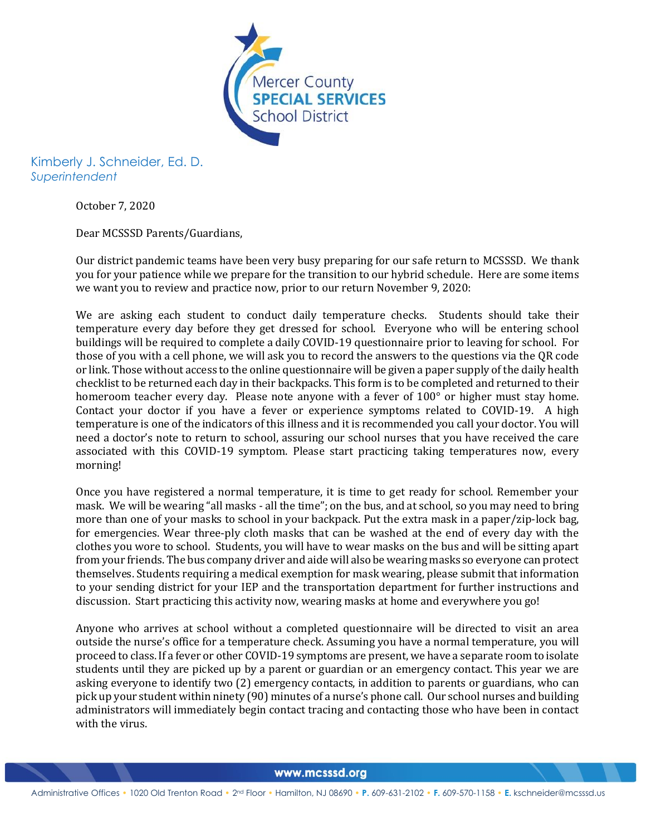

Kimberly J. Schneider, Ed. D. *Superintendent*

October 7, 2020

Dear MCSSSD Parents/Guardians,

Our district pandemic teams have been very busy preparing for our safe return to MCSSSD. We thank you for your patience while we prepare for the transition to our hybrid schedule. Here are some items we want you to review and practice now, prior to our return November 9, 2020:

We are asking each student to conduct daily temperature checks. Students should take their temperature every day before they get dressed for school. Everyone who will be entering school buildings will be required to complete a daily COVID-19 questionnaire prior to leaving for school. For those of you with a cell phone, we will ask you to record the answers to the questions via the QR code or link. Those without access to the online questionnaire will be given a paper supply of the daily health checklist to be returned each day in their backpacks. This form is to be completed and returned to their homeroom teacher every day. Please note anyone with a fever of 100° or higher must stay home. Contact your doctor if you have a fever or experience symptoms related to COVID-19. A high temperature is one of the indicators of this illness and it is recommended you call your doctor. You will need a doctor's note to return to school, assuring our school nurses that you have received the care associated with this COVID-19 symptom. Please start practicing taking temperatures now, every morning!

Once you have registered a normal temperature, it is time to get ready for school. Remember your mask. We will be wearing "all masks - all the time"; on the bus, and at school, so you may need to bring more than one of your masks to school in your backpack. Put the extra mask in a paper/zip-lock bag, for emergencies. Wear three-ply cloth masks that can be washed at the end of every day with the clothes you wore to school. Students, you will have to wear masks on the bus and will be sitting apart from your friends. The bus company driver and aide will also be wearing masks so everyone can protect themselves. Students requiring a medical exemption for mask wearing, please submit that information to your sending district for your IEP and the transportation department for further instructions and discussion. Start practicing this activity now, wearing masks at home and everywhere you go!

Anyone who arrives at school without a completed questionnaire will be directed to visit an area outside the nurse's office for a temperature check. Assuming you have a normal temperature, you will proceed to class. If a fever or other COVID-19 symptoms are present, we have a separate room to isolate students until they are picked up by a parent or guardian or an emergency contact. This year we are asking everyone to identify two (2) emergency contacts, in addition to parents or guardians, who can pick up your student within ninety (90) minutes of a nurse's phone call. Our school nurses and building administrators will immediately begin contact tracing and contacting those who have been in contact with the virus.

www.mcsssd.org